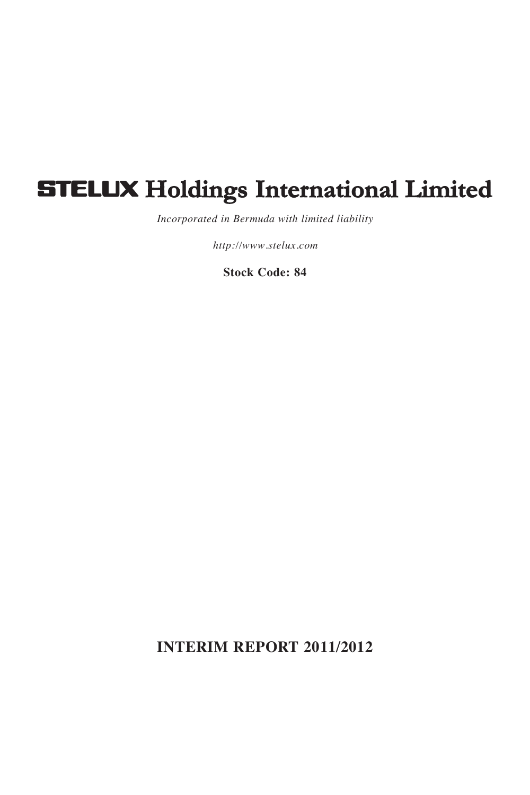# **STELUX Holdings International Limited**

*Incorporated in Bermuda with limited liability*

*http://www.stelux.com*

**Stock Code: 84**

**INTERIM REPORT 2011/2012**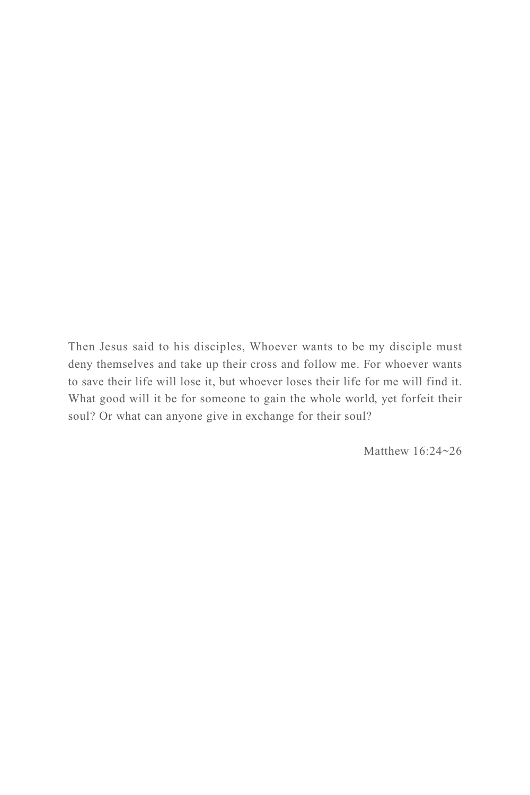Then Jesus said to his disciples, Whoever wants to be my disciple must deny themselves and take up their cross and follow me. For whoever wants to save their life will lose it, but whoever loses their life for me will find it. What good will it be for someone to gain the whole world, yet forfeit their soul? Or what can anyone give in exchange for their soul?

Matthew 16:24~26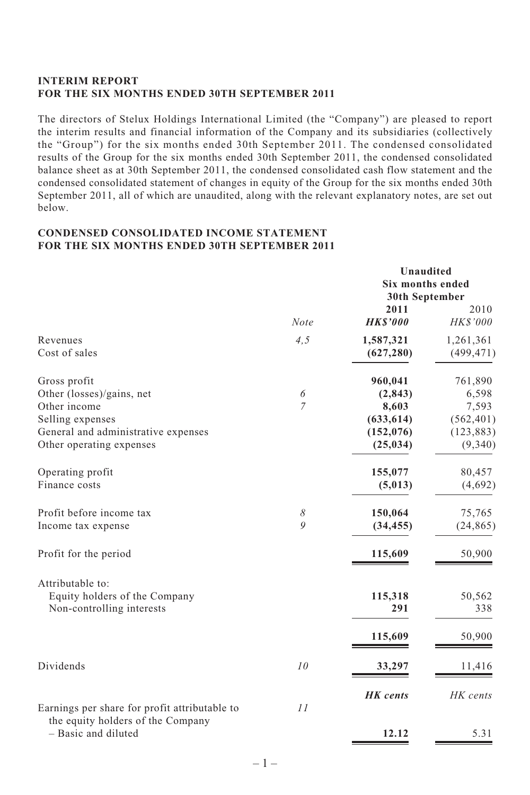# **INTERIM REPORT FOR THE SIX MONTHS ENDED 30TH SEPTEMBER 2011**

The directors of Stelux Holdings International Limited (the "Company") are pleased to report the interim results and financial information of the Company and its subsidiaries (collectively the "Group") for the six months ended 30th September 2011. The condensed consolidated results of the Group for the six months ended 30th September 2011, the condensed consolidated balance sheet as at 30th September 2011, the condensed consolidated cash flow statement and the condensed consolidated statement of changes in equity of the Group for the six months ended 30th September 2011, all of which are unaudited, along with the relevant explanatory notes, are set out below.

# **CONDENSED CONSOLIDATED INCOME STATEMENT FOR THE SIX MONTHS ENDED 30TH SEPTEMBER 2011**

|                                                                                                           |                     |                                            | Unaudited<br><b>Six months ended</b><br>30th September |  |
|-----------------------------------------------------------------------------------------------------------|---------------------|--------------------------------------------|--------------------------------------------------------|--|
|                                                                                                           | <b>Note</b>         | 2011<br><b>HKS'000</b>                     | 2010<br>HK\$'000                                       |  |
| Revenues<br>Cost of sales                                                                                 | 4, 5                | 1,587,321<br>(627, 280)                    | 1,261,361<br>(499, 471)                                |  |
| Gross profit<br>Other (losses)/gains, net<br>Other income<br>Selling expenses                             | 6<br>7              | 960,041<br>(2, 843)<br>8,603<br>(633, 614) | 761,890<br>6,598<br>7,593<br>(562, 401)                |  |
| General and administrative expenses<br>Other operating expenses                                           |                     | (152, 076)<br>(25, 034)                    | (123, 883)<br>(9,340)                                  |  |
| Operating profit<br>Finance costs                                                                         |                     | 155,077<br>(5,013)                         | 80,457<br>(4,692)                                      |  |
| Profit before income tax<br>Income tax expense                                                            | 8<br>$\overline{Q}$ | 150,064<br>(34, 455)                       | 75,765<br>(24, 865)                                    |  |
| Profit for the period                                                                                     |                     | 115,609                                    | 50,900                                                 |  |
| Attributable to:<br>Equity holders of the Company<br>Non-controlling interests                            |                     | 115,318<br>291<br>115,609                  | 50,562<br>338<br>50,900                                |  |
| Dividends                                                                                                 | 10                  | 33,297                                     | 11,416                                                 |  |
| Earnings per share for profit attributable to<br>the equity holders of the Company<br>- Basic and diluted | 11                  | <b>HK</b> cents<br>12.12                   | HK cents<br>5.31                                       |  |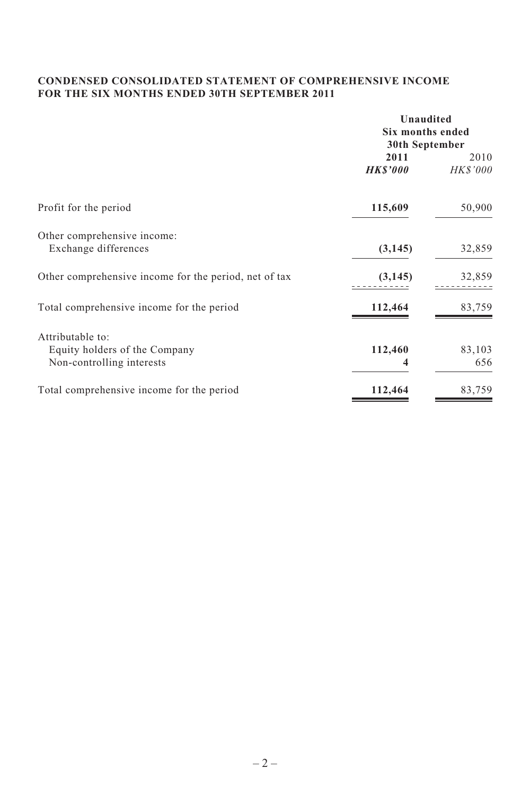# **CONDENSED CONSOLIDATED STATEMENT OF COMPREHENSIVE INCOME FOR THE SIX MONTHS ENDED 30TH SEPTEMBER 2011**

|                                                       | Unaudited<br><b>Six months ended</b><br>30th September |                  |  |
|-------------------------------------------------------|--------------------------------------------------------|------------------|--|
|                                                       | 2011<br><b>HKS'000</b>                                 | 2010<br>HK\$'000 |  |
| Profit for the period                                 | 115,609                                                | 50,900           |  |
| Other comprehensive income:                           |                                                        |                  |  |
| Exchange differences                                  | (3, 145)                                               | 32,859           |  |
| Other comprehensive income for the period, net of tax | (3, 145)                                               | 32,859           |  |
| Total comprehensive income for the period             | 112,464                                                | 83,759           |  |
| Attributable to:                                      |                                                        |                  |  |
| Equity holders of the Company                         | 112,460                                                | 83,103           |  |
| Non-controlling interests                             | 4                                                      | 656              |  |
| Total comprehensive income for the period             | 112,464                                                | 83,759           |  |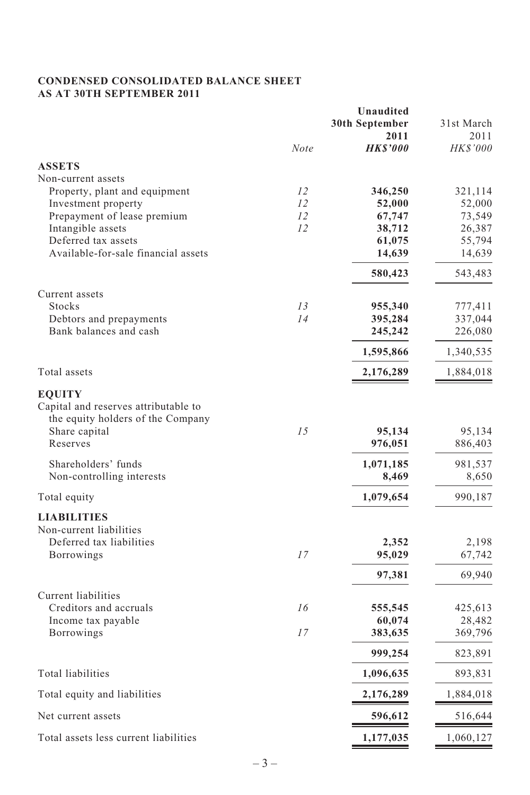# **CONDENSED CONSOLIDATED BALANCE SHEET AS AT 30TH SEPTEMBER 2011**

|                                          |          | Unaudited              |                         |
|------------------------------------------|----------|------------------------|-------------------------|
|                                          |          | 30th September         | 31st March              |
|                                          | Note     | 2011<br><b>HKS'000</b> | 2011<br><i>HK\$'000</i> |
| <b>ASSETS</b>                            |          |                        |                         |
| Non-current assets                       |          |                        |                         |
| Property, plant and equipment            | 12       | 346,250                | 321,114                 |
| Investment property                      | 12       | 52,000                 | 52,000                  |
| Prepayment of lease premium              | 12       | 67,747                 | 73,549                  |
| Intangible assets                        | 12       | 38,712                 | 26,387                  |
| Deferred tax assets                      |          | 61,075                 | 55,794                  |
| Available-for-sale financial assets      |          | 14,639                 | 14,639                  |
|                                          |          | 580,423                | 543,483                 |
| Current assets                           |          |                        |                         |
| <b>Stocks</b><br>Debtors and prepayments | 13<br>14 | 955,340<br>395,284     | 777,411<br>337,044      |
| Bank balances and cash                   |          | 245,242                | 226,080                 |
|                                          |          | 1,595,866              | 1,340,535               |
| Total assets                             |          | 2,176,289              | 1,884,018               |
| <b>EQUITY</b>                            |          |                        |                         |
| Capital and reserves attributable to     |          |                        |                         |
| the equity holders of the Company        |          |                        |                         |
| Share capital                            | 1.5      | 95,134                 | 95,134                  |
| Reserves                                 |          | 976,051                | 886,403                 |
| Shareholders' funds                      |          | 1,071,185              | 981,537                 |
| Non-controlling interests                |          | 8,469                  | 8,650                   |
| Total equity                             |          | 1,079,654              | 990,187                 |
| <b>LIABILITIES</b>                       |          |                        |                         |
| Non-current liabilities                  |          |                        |                         |
| Deferred tax liabilities                 |          | 2,352                  | 2,198                   |
| Borrowings                               | 17       | 95,029                 | 67,742                  |
|                                          |          | 97,381                 | 69,940                  |
| Current liabilities                      |          |                        |                         |
| Creditors and accruals                   | 16       | 555,545                | 425,613                 |
| Income tax payable                       |          | 60,074                 | 28,482                  |
| Borrowings                               | 17       | 383,635                | 369,796                 |
|                                          |          | 999,254                | 823,891                 |
| Total liabilities                        |          | 1,096,635              | 893,831                 |
| Total equity and liabilities             |          | 2,176,289              | 1,884,018               |
| Net current assets                       |          | 596,612                | 516,644                 |
| Total assets less current liabilities    |          | 1,177,035              | 1,060,127               |
|                                          |          |                        |                         |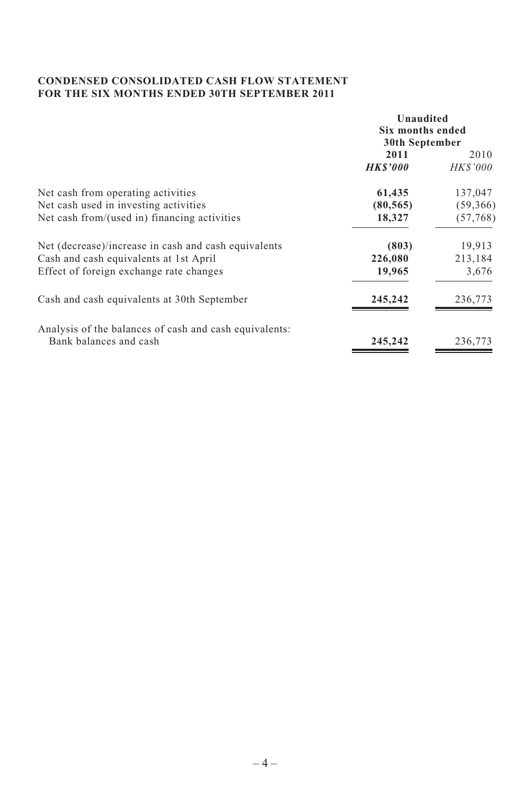# **CONDENSED CONSOLIDATED CASH FLOW STATEMENT FOR THE SIX MONTHS ENDED 30TH SEPTEMBER 2011**

|                                                        | Unaudited<br>Six months ended<br>30th September |                  |  |
|--------------------------------------------------------|-------------------------------------------------|------------------|--|
|                                                        | 2011<br><b>HKS'000</b>                          | 2010<br>HK\$'000 |  |
| Net cash from operating activities                     | 61,435                                          | 137,047          |  |
| Net cash used in investing activities                  | (80, 565)                                       | (59,366)         |  |
| Net cash from/(used in) financing activities           | 18,327                                          | (57, 768)        |  |
| Net (decrease)/increase in cash and cash equivalents   | (803)                                           | 19,913           |  |
| Cash and cash equivalents at 1st April                 | 226,080                                         | 213,184          |  |
| Effect of foreign exchange rate changes                | 19,965                                          | 3,676            |  |
| Cash and cash equivalents at 30th September            | 245,242                                         | 236,773          |  |
| Analysis of the balances of cash and cash equivalents: |                                                 |                  |  |
| Bank balances and cash                                 | 245,242                                         | 236,773          |  |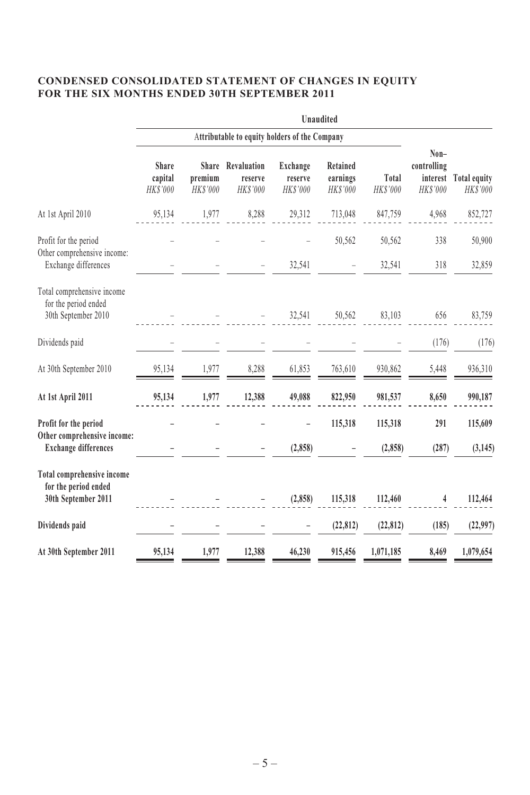# **CONDENSED CONSOLIDATED STATEMENT OF CHANGES IN EQUITY FOR THE SIX MONTHS ENDED 30TH SEPTEMBER 2011**

|                                                                              |                                               |                     |                                          |                                 | Unaudited                        |                   |                                       |                                   |
|------------------------------------------------------------------------------|-----------------------------------------------|---------------------|------------------------------------------|---------------------------------|----------------------------------|-------------------|---------------------------------------|-----------------------------------|
|                                                                              | Attributable to equity holders of the Company |                     |                                          |                                 |                                  |                   |                                       |                                   |
|                                                                              | Share<br>capital<br>HK\$'000                  | premium<br>HK\$'000 | Share Revaluation<br>reserve<br>HK\$'000 | Exchange<br>reserve<br>HK\$'000 | Retained<br>earnings<br>HK\$'000 | Total<br>HK\$'000 | Non-<br>controlling<br><b>HKS'000</b> | interest Total equity<br>HK\$'000 |
| At 1st April 2010                                                            | 95,134                                        | 1,977               | 8,288                                    | 29,312                          | 713,048                          | 847,759           | 4,968                                 | 852,727                           |
| Profit for the period<br>Other comprehensive income:<br>Exchange differences |                                               |                     |                                          | 32,541                          | 50,562                           | 50,562<br>32,541  | 338<br>318                            | 50,900<br>32,859                  |
| Total comprehensive income<br>for the period ended<br>30th September 2010    |                                               |                     |                                          | 32,541                          | 50,562                           | 83,103            | 656                                   | 83,759                            |
| Dividends paid                                                               |                                               |                     |                                          |                                 |                                  |                   | (176)                                 | (176)                             |
| At 30th September 2010                                                       | 95,134                                        | 1,977               | 8,288                                    | 61,853                          | 763,610                          | 930,862           | 5,448                                 | 936,310                           |
| At 1st April 2011                                                            | 95,134                                        | 1,977               | 12,388                                   | 49,088                          | 822,950                          | 981,537           | 8,650                                 | 990,187                           |
| Profit for the period                                                        |                                               |                     |                                          |                                 | 115,318                          | 115,318           | 291                                   | 115,609                           |
| Other comprehensive income:<br><b>Exchange differences</b>                   |                                               |                     |                                          | (2, 858)                        |                                  | (2, 858)          | (287)                                 | (3, 145)                          |
| Total comprehensive income<br>for the period ended<br>30th September 2011    |                                               |                     |                                          | (2,858)                         | 115,318                          | 112,460           | 4                                     | 112,464                           |
| Dividends paid                                                               |                                               |                     |                                          |                                 | (22, 812)                        | (22, 812)         | (185)                                 | (22,997)                          |
| At 30th September 2011                                                       | 95,134                                        | 1,977               | 12,388                                   | 46,230                          | 915,456                          | 1,071,185         | 8,469                                 | 1,079,654                         |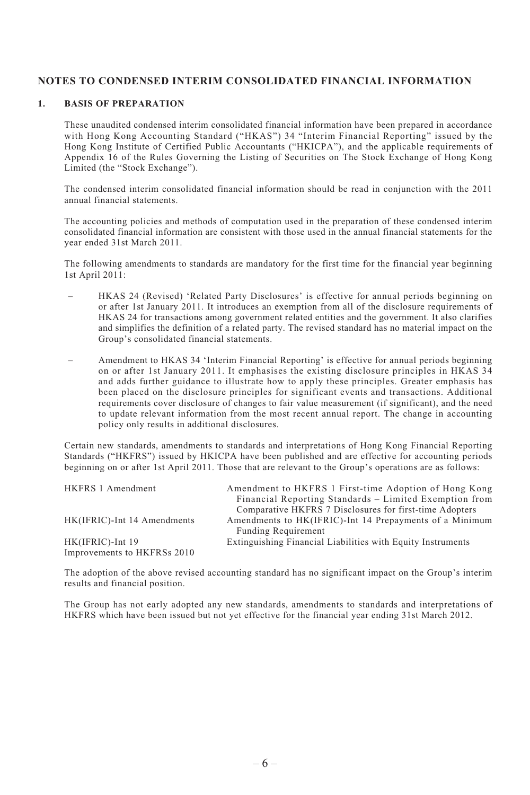# **NOTES TO CONDENSED INTERIM CONSOLIDATED FINANCIAL INFORMATION**

#### **1. BASIS OF PREPARATION**

These unaudited condensed interim consolidated financial information have been prepared in accordance with Hong Kong Accounting Standard ("HKAS") 34 "Interim Financial Reporting" issued by the Hong Kong Institute of Certified Public Accountants ("HKICPA"), and the applicable requirements of Appendix 16 of the Rules Governing the Listing of Securities on The Stock Exchange of Hong Kong Limited (the "Stock Exchange").

The condensed interim consolidated financial information should be read in conjunction with the 2011 annual financial statements.

The accounting policies and methods of computation used in the preparation of these condensed interim consolidated financial information are consistent with those used in the annual financial statements for the year ended 31st March 2011.

The following amendments to standards are mandatory for the first time for the financial year beginning 1st April 2011:

- HKAS 24 (Revised) 'Related Party Disclosures' is effective for annual periods beginning on or after 1st January 2011. It introduces an exemption from all of the disclosure requirements of HKAS 24 for transactions among government related entities and the government. It also clarifies and simplifies the definition of a related party. The revised standard has no material impact on the Group's consolidated financial statements.
- Amendment to HKAS 34 'Interim Financial Reporting' is effective for annual periods beginning on or after 1st January 2011. It emphasises the existing disclosure principles in HKAS 34 and adds further guidance to illustrate how to apply these principles. Greater emphasis has been placed on the disclosure principles for significant events and transactions. Additional requirements cover disclosure of changes to fair value measurement (if significant), and the need to update relevant information from the most recent annual report. The change in accounting policy only results in additional disclosures.

Certain new standards, amendments to standards and interpretations of Hong Kong Financial Reporting Standards ("HKFRS") issued by HKICPA have been published and are effective for accounting periods beginning on or after 1st April 2011. Those that are relevant to the Group's operations are as follows:

| HKFRS 1 Amendment           | Amendment to HKFRS 1 First-time Adoption of Hong Kong       |
|-----------------------------|-------------------------------------------------------------|
|                             | Financial Reporting Standards – Limited Exemption from      |
|                             | Comparative HKFRS 7 Disclosures for first-time Adopters     |
| HK(IFRIC)-Int 14 Amendments | Amendments to HK(IFRIC)-Int 14 Prepayments of a Minimum     |
|                             | <b>Funding Requirement</b>                                  |
| HK(IFRIC)-Int 19            | Extinguishing Financial Liabilities with Equity Instruments |
| Improvements to HKFRSs 2010 |                                                             |

The adoption of the above revised accounting standard has no significant impact on the Group's interim results and financial position.

The Group has not early adopted any new standards, amendments to standards and interpretations of HKFRS which have been issued but not yet effective for the financial year ending 31st March 2012.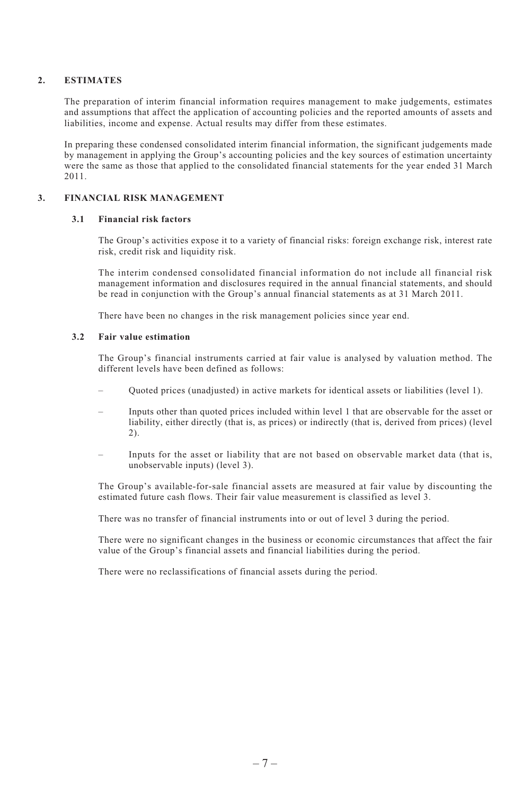#### **2. ESTIMATES**

The preparation of interim financial information requires management to make judgements, estimates and assumptions that affect the application of accounting policies and the reported amounts of assets and liabilities, income and expense. Actual results may differ from these estimates.

In preparing these condensed consolidated interim financial information, the significant judgements made by management in applying the Group's accounting policies and the key sources of estimation uncertainty were the same as those that applied to the consolidated financial statements for the year ended 31 March 2011.

# **3. FINANCIAL RISK MANAGEMENT**

#### **3.1 Financial risk factors**

The Group's activities expose it to a variety of financial risks: foreign exchange risk, interest rate risk, credit risk and liquidity risk.

The interim condensed consolidated financial information do not include all financial risk management information and disclosures required in the annual financial statements, and should be read in conjunction with the Group's annual financial statements as at 31 March 2011.

There have been no changes in the risk management policies since year end.

#### **3.2 Fair value estimation**

The Group's financial instruments carried at fair value is analysed by valuation method. The different levels have been defined as follows:

- Quoted prices (unadjusted) in active markets for identical assets or liabilities (level 1).
- Inputs other than quoted prices included within level 1 that are observable for the asset or liability, either directly (that is, as prices) or indirectly (that is, derived from prices) (level 2).
- Inputs for the asset or liability that are not based on observable market data (that is, unobservable inputs) (level 3).

The Group's available-for-sale financial assets are measured at fair value by discounting the estimated future cash flows. Their fair value measurement is classified as level 3.

There was no transfer of financial instruments into or out of level 3 during the period.

There were no significant changes in the business or economic circumstances that affect the fair value of the Group's financial assets and financial liabilities during the period.

There were no reclassifications of financial assets during the period.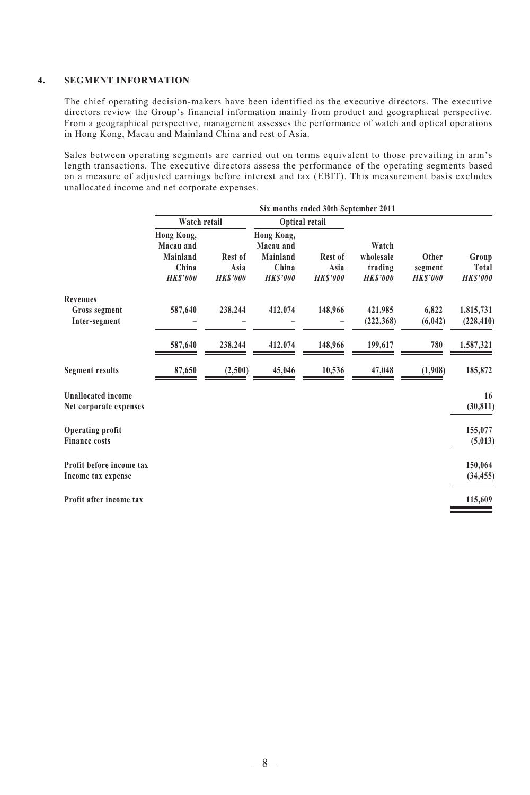#### **4. SEGMENT INFORMATION**

The chief operating decision-makers have been identified as the executive directors. The executive directors review the Group's financial information mainly from product and geographical perspective. From a geographical perspective, management assesses the performance of watch and optical operations in Hong Kong, Macau and Mainland China and rest of Asia.

Sales between operating segments are carried out on terms equivalent to those prevailing in arm's length transactions. The executive directors assess the performance of the operating segments based on a measure of adjusted earnings before interest and tax (EBIT). This measurement basis excludes unallocated income and net corporate expenses.

|                                                     | Six months ended 30th September 2011                           |                                   |                                                                |                                   |                                                 |                                    |                                   |
|-----------------------------------------------------|----------------------------------------------------------------|-----------------------------------|----------------------------------------------------------------|-----------------------------------|-------------------------------------------------|------------------------------------|-----------------------------------|
|                                                     | Watch retail                                                   |                                   |                                                                | Optical retail                    |                                                 |                                    |                                   |
|                                                     | Hong Kong,<br>Macau and<br>Mainland<br>China<br><b>HKS'000</b> | Rest of<br>Asia<br><b>HKS'000</b> | Hong Kong,<br>Macau and<br>Mainland<br>China<br><b>HKS'000</b> | Rest of<br>Asia<br><b>HKS'000</b> | Watch<br>wholesale<br>trading<br><b>HKS'000</b> | Other<br>segment<br><b>HKS'000</b> | Group<br>Total<br><b>HK\$'000</b> |
| <b>Revenues</b>                                     |                                                                |                                   |                                                                | 148,966                           |                                                 | 6,822                              |                                   |
| Gross segment<br>Inter-segment                      | 587,640                                                        | 238,244                           | 412,074                                                        |                                   | 421,985<br>(222, 368)                           | (6, 042)                           | 1,815,731<br>(228, 410)           |
|                                                     | 587,640                                                        | 238,244                           | 412,074                                                        | 148,966                           | 199,617                                         | 780                                | 1,587,321                         |
| <b>Segment results</b>                              | 87,650                                                         | (2,500)                           | 45,046                                                         | 10,536                            | 47,048                                          | (1,908)                            | 185,872                           |
| <b>Unallocated income</b><br>Net corporate expenses |                                                                |                                   |                                                                |                                   |                                                 |                                    | 16<br>(30, 811)                   |
| Operating profit<br><b>Finance costs</b>            |                                                                |                                   |                                                                |                                   |                                                 |                                    | 155,077<br>(5,013)                |
| Profit before income tax<br>Income tax expense      |                                                                |                                   |                                                                |                                   |                                                 |                                    | 150,064<br>(34, 455)              |
| Profit after income tax                             |                                                                |                                   |                                                                |                                   |                                                 |                                    | 115,609                           |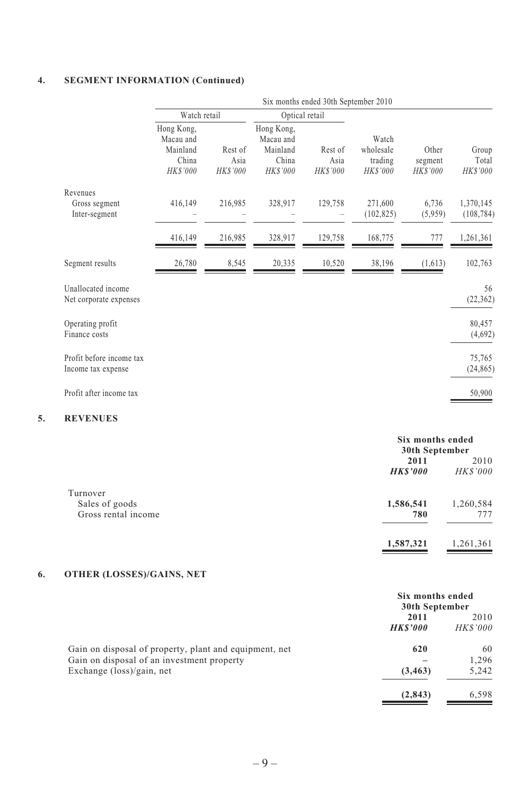# **4. SEGMENT INFORMATION (Continued)**

|                                                |                                                          |                             |                                                                 | Six months ended 30th September 2010 |                                                 |                                     |                            |
|------------------------------------------------|----------------------------------------------------------|-----------------------------|-----------------------------------------------------------------|--------------------------------------|-------------------------------------------------|-------------------------------------|----------------------------|
|                                                | Watch retail                                             |                             |                                                                 | Optical retail                       |                                                 |                                     |                            |
|                                                | Hong Kong,<br>Macau and<br>Mainland<br>China<br>HK\$'000 | Rest of<br>Asia<br>HK\$'000 | Hong Kong,<br>Macau and<br>Mainland<br>China<br><b>HK\$'000</b> | Rest of<br>Asia<br>HK\$'000          | Watch<br>wholesale<br>trading<br><b>HKS'000</b> | Other<br>segment<br><b>HK\$'000</b> | Group<br>Total<br>HK\$'000 |
| Revenues<br>Gross segment<br>Inter-segment     | 416,149                                                  | 216,985                     | 328,917                                                         | 129,758                              | 271,600<br>(102, 825)                           | 6,736<br>(5,959)                    | 1,370,145<br>(108, 784)    |
|                                                | 416,149                                                  | 216,985                     | 328,917                                                         | 129,758                              | 168,775                                         | 777                                 | 1,261,361                  |
| Segment results                                | 26,780                                                   | 8,545                       | 20,335                                                          | 10,520                               | 38,196                                          | (1,613)                             | 102,763                    |
| Unallocated income<br>Net corporate expenses   |                                                          |                             |                                                                 |                                      |                                                 |                                     | 56<br>(22, 362)            |
| Operating profit<br>Finance costs              |                                                          |                             |                                                                 |                                      |                                                 |                                     | 80,457<br>(4,692)          |
| Profit before income tax<br>Income tax expense |                                                          |                             |                                                                 |                                      |                                                 |                                     | 75,765<br>(24, 865)        |
| Profit after income tax                        |                                                          |                             |                                                                 |                                      |                                                 |                                     | 50,900                     |

# **5. REVENUES**

|                     |                | Six months ended |  |  |
|---------------------|----------------|------------------|--|--|
|                     | 30th September |                  |  |  |
|                     | 2011           | 2010             |  |  |
|                     | <b>HKS'000</b> | <b>HKS'000</b>   |  |  |
| Turnover            |                |                  |  |  |
| Sales of goods      | 1,586,541      | 1,260,584        |  |  |
| Gross rental income | 780            | 777              |  |  |
|                     | 1,587,321      | 1,261,361        |  |  |

# **6. OTHER (LOSSES)/GAINS, NET**

|                                                        | Six months ended<br>30th September |                |  |
|--------------------------------------------------------|------------------------------------|----------------|--|
|                                                        | 2011                               | 2010           |  |
|                                                        | <b>HKS'000</b>                     | <b>HKS'000</b> |  |
| Gain on disposal of property, plant and equipment, net | 620                                | 60             |  |
| Gain on disposal of an investment property             |                                    | 1.296          |  |
| Exchange $(\text{loss})/\text{gain}$ , net             | (3, 463)                           | 5,242          |  |
|                                                        | (2, 843)                           | 6.598          |  |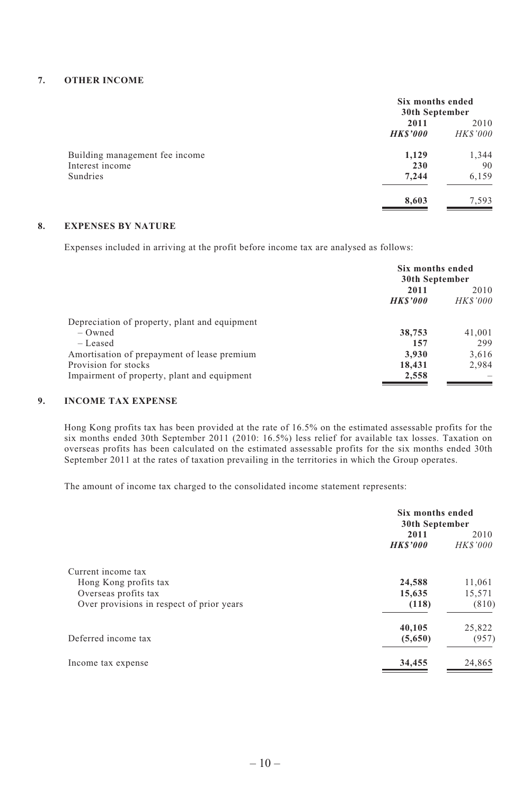#### **7. OTHER INCOME**

|                                                   | Six months ended<br>30th September |                        |  |
|---------------------------------------------------|------------------------------------|------------------------|--|
|                                                   | 2011<br><b>HKS'000</b>             | 2010<br><b>HKS'000</b> |  |
| Building management fee income<br>Interest income | 1,129<br>230                       | 1,344<br>90            |  |
| Sundries                                          | 7.244                              | 6,159                  |  |
|                                                   | 8,603                              | 7,593                  |  |

# **8. EXPENSES BY NATURE**

Expenses included in arriving at the profit before income tax are analysed as follows:

|                                               | Six months ended<br>30th September |                 |  |
|-----------------------------------------------|------------------------------------|-----------------|--|
|                                               | 2011                               | 2010            |  |
|                                               | <b>HKS'000</b>                     | <b>HK\$'000</b> |  |
| Depreciation of property, plant and equipment |                                    |                 |  |
| $-$ Owned                                     | 38,753                             | 41,001          |  |
| $-$ Leased                                    | 157                                | 299             |  |
| Amortisation of prepayment of lease premium   | 3.930                              | 3.616           |  |
| Provision for stocks                          | 18.431                             | 2.984           |  |
| Impairment of property, plant and equipment   | 2,558                              |                 |  |
|                                               |                                    |                 |  |

# **9. INCOME TAX EXPENSE**

Hong Kong profits tax has been provided at the rate of 16.5% on the estimated assessable profits for the six months ended 30th September 2011 (2010: 16.5%) less relief for available tax losses. Taxation on overseas profits has been calculated on the estimated assessable profits for the six months ended 30th September 2011 at the rates of taxation prevailing in the territories in which the Group operates.

The amount of income tax charged to the consolidated income statement represents:

|                                           | Six months ended<br>30th September |                        |
|-------------------------------------------|------------------------------------|------------------------|
|                                           | 2011<br><b>HKS'000</b>             | 2010<br><b>HKS'000</b> |
| Current income tax                        |                                    |                        |
| Hong Kong profits tax                     | 24,588                             | 11,061                 |
| Overseas profits tax                      | 15,635                             | 15,571                 |
| Over provisions in respect of prior years | (118)                              | (810)                  |
|                                           | 40,105                             | 25,822                 |
| Deferred income tax                       | (5,650)                            | (957)                  |
| Income tax expense                        | 34,455                             | 24,865                 |
|                                           |                                    |                        |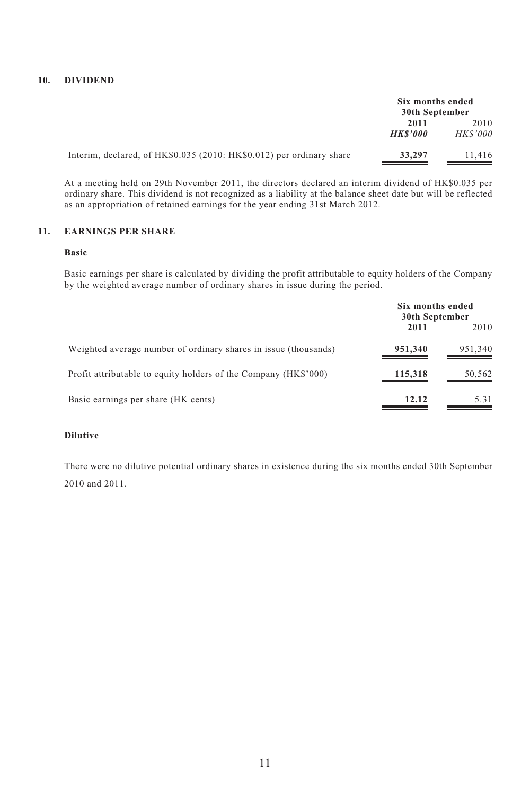#### **10. DIVIDEND**

|                                                                      | Six months ended<br>30th September |                        |
|----------------------------------------------------------------------|------------------------------------|------------------------|
|                                                                      | 2011<br><b>HKS'000</b>             | 2010<br><b>HKS'000</b> |
| Interim, declared, of HK\$0.035 (2010: HK\$0.012) per ordinary share | 33,297                             | 11.416                 |

At a meeting held on 29th November 2011, the directors declared an interim dividend of HK\$0.035 per ordinary share. This dividend is not recognized as a liability at the balance sheet date but will be reflected as an appropriation of retained earnings for the year ending 31st March 2012.

# **11. EARNINGS PER SHARE**

#### **Basic**

Basic earnings per share is calculated by dividing the profit attributable to equity holders of the Company by the weighted average number of ordinary shares in issue during the period.

|                                                                 | Six months ended<br>30th September |         |
|-----------------------------------------------------------------|------------------------------------|---------|
|                                                                 | 2011                               | 2010    |
| Weighted average number of ordinary shares in issue (thousands) | 951,340                            | 951,340 |
| Profit attributable to equity holders of the Company (HK\$'000) | 115,318                            | 50,562  |
| Basic earnings per share (HK cents)                             | 12.12                              | 5.31    |

#### **Dilutive**

There were no dilutive potential ordinary shares in existence during the six months ended 30th September 2010 and 2011.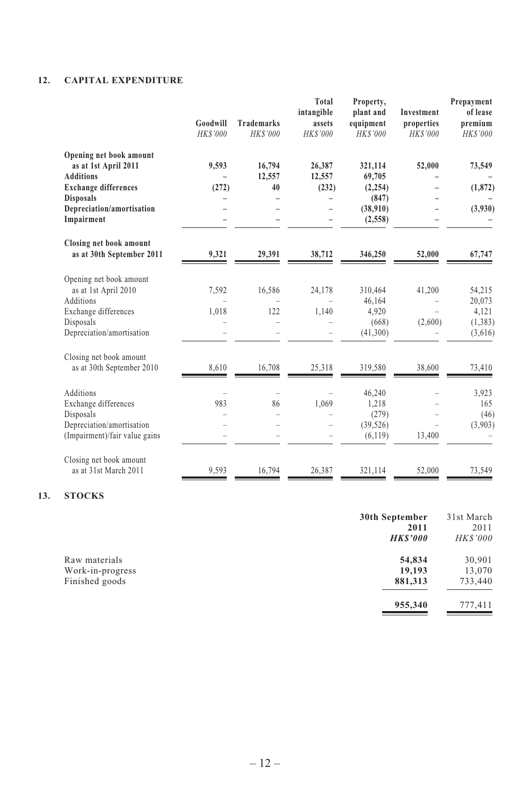# **12. CAPITAL EXPENDITURE**

|                                                      | Goodwill<br>HK\$'000 | <b>Trademarks</b><br>HK\$'000 | Total<br>intangible<br>assets<br><b>HKS'000</b> | Property,<br>plant and<br>equipment<br>HK\$'000 | <b>Investment</b><br>properties<br><b>HKS'000</b> | Prepayment<br>of lease<br>premium<br>HK\$'000 |
|------------------------------------------------------|----------------------|-------------------------------|-------------------------------------------------|-------------------------------------------------|---------------------------------------------------|-----------------------------------------------|
| Opening net book amount<br>as at 1st April 2011      | 9,593                | 16,794                        | 26,387                                          | 321,114                                         | 52,000                                            | 73,549                                        |
| <b>Additions</b>                                     |                      | 12,557                        | 12,557                                          | 69,705                                          |                                                   |                                               |
| <b>Exchange differences</b>                          | (272)                | 40                            | (232)                                           | (2, 254)                                        |                                                   | (1, 872)                                      |
| <b>Disposals</b>                                     |                      |                               |                                                 | (847)                                           |                                                   |                                               |
| Depreciation/amortisation                            |                      |                               |                                                 | (38,910)                                        |                                                   | (3,930)                                       |
| Impairment                                           |                      |                               |                                                 | (2, 558)                                        |                                                   |                                               |
| Closing net book amount<br>as at 30th September 2011 | 9,321                | 29,391                        | 38,712                                          | 346,250                                         | 52,000                                            | 67,747                                        |
| Opening net book amount                              |                      |                               |                                                 |                                                 |                                                   |                                               |
| as at 1st April 2010                                 | 7,592                | 16,586                        | 24,178                                          | 310,464                                         | 41,200                                            | 54,215                                        |
| Additions                                            |                      |                               |                                                 | 46,164                                          |                                                   | 20,073                                        |
| Exchange differences                                 | 1,018                | 122                           | 1,140                                           | 4,920                                           |                                                   | 4,121                                         |
| Disposals                                            |                      |                               |                                                 | (668)                                           | (2,600)                                           | (1,383)                                       |
| Depreciation/amortisation                            |                      |                               |                                                 | (41,300)                                        |                                                   | (3,616)                                       |
| Closing net book amount                              |                      |                               |                                                 |                                                 |                                                   |                                               |
| as at 30th September 2010                            | 8.610                | 16,708                        | 25,318                                          | 319,580                                         | 38,600                                            | 73,410                                        |
| Additions                                            |                      |                               |                                                 | 46,240                                          |                                                   | 3,923                                         |
| Exchange differences                                 | 983                  | 86                            | 1,069                                           | 1,218                                           |                                                   | 165                                           |
| Disposals                                            |                      |                               |                                                 | (279)                                           |                                                   | (46)                                          |
| Depreciation/amortisation                            |                      |                               |                                                 | (39, 526)                                       |                                                   | (3,903)                                       |
| (Impairment)/fair value gains                        |                      |                               |                                                 | (6,119)                                         | 13,400                                            |                                               |
| Closing net book amount                              |                      |                               |                                                 |                                                 |                                                   |                                               |
| as at 31st March 2011                                | 9,593                | 16,794                        | 26,387                                          | 321,114                                         | 52,000                                            | 73,549                                        |

# **13. STOCKS**

| 30th September | 31st March     |
|----------------|----------------|
| 2011           | 2011           |
| <b>HKS'000</b> | <b>HKS'000</b> |
| 54,834         | 30,901         |
| 19,193         | 13,070         |
| 881,313        | 733,440        |
| 955,340        | 777,411        |
|                |                |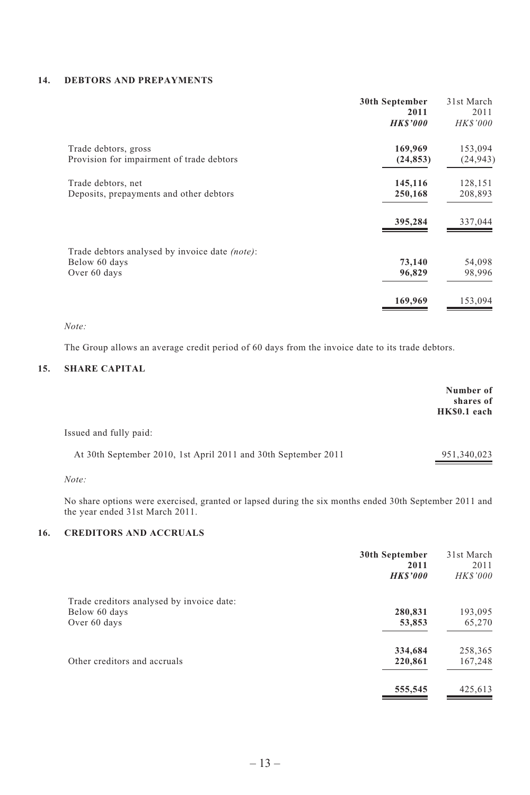#### **14. DEBTORS AND PREPAYMENTS**

|                                                | 30th September<br>2011<br><b>HK\$'000</b> | 31st March<br>2011<br><b>HK\$'000</b> |
|------------------------------------------------|-------------------------------------------|---------------------------------------|
|                                                |                                           |                                       |
| Trade debtors, gross                           | 169,969                                   | 153,094                               |
| Provision for impairment of trade debtors      | (24, 853)                                 | (24, 943)                             |
| Trade debtors, net                             | 145,116                                   | 128,151                               |
| Deposits, prepayments and other debtors        | 250,168                                   | 208,893                               |
|                                                | 395,284                                   | 337,044                               |
| Trade debtors analysed by invoice date (note): |                                           |                                       |
| Below 60 days                                  | 73,140                                    | 54,098                                |
| Over 60 days                                   | 96,829                                    | 98,996                                |
|                                                | 169,969                                   | 153,094                               |

#### *Note:*

The Group allows an average credit period of 60 days from the invoice date to its trade debtors.

# **15. SHARE CAPITAL**

|                                                                | Number of<br>shares of<br>HK\$0.1 each |
|----------------------------------------------------------------|----------------------------------------|
| Issued and fully paid:                                         |                                        |
| At 30th September 2010, 1st April 2011 and 30th September 2011 | 951,340,023                            |
| $\cdots$                                                       |                                        |

*Note:*

No share options were exercised, granted or lapsed during the six months ended 30th September 2011 and the year ended 31st March 2011.

# **16. CREDITORS AND ACCRUALS**

| 30th September<br>2011<br><b>HKS'000</b> | 31st March<br>2011<br>HK\$'000 |
|------------------------------------------|--------------------------------|
|                                          |                                |
| 280,831                                  | 193,095                        |
| 53,853                                   | 65,270                         |
| 334,684                                  | 258,365                        |
| 220,861                                  | 167,248                        |
| 555,545                                  | 425,613                        |
|                                          |                                |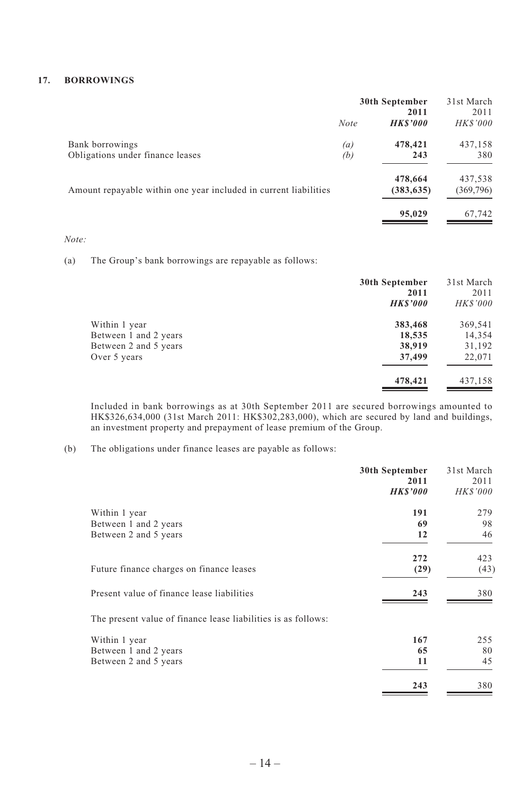#### **17. BORROWINGS**

|                                                                  | 30th September<br>2011 |                       | 31st March<br>2011   |
|------------------------------------------------------------------|------------------------|-----------------------|----------------------|
|                                                                  | <b>Note</b>            | <b>HKS'000</b>        | <b>HKS'000</b>       |
| Bank borrowings<br>Obligations under finance leases              | (a)<br>(b)             | 478,421<br>243        | 437,158<br>380       |
| Amount repayable within one year included in current liabilities |                        | 478,664<br>(383, 635) | 437,538<br>(369,796) |
|                                                                  |                        | 95,029                | 67,742               |

*Note:*

(a) The Group's bank borrowings are repayable as follows:

|                       | 30th September<br>2011<br><b>HKS'000</b> | 31st March<br>2011<br><b>HKS'000</b> |
|-----------------------|------------------------------------------|--------------------------------------|
| Within 1 year         | 383,468                                  | 369,541                              |
| Between 1 and 2 years | 18,535                                   | 14,354                               |
| Between 2 and 5 years | 38,919                                   | 31,192                               |
| Over 5 years          | 37,499                                   | 22,071                               |
|                       | 478,421                                  | 437,158                              |

Included in bank borrowings as at 30th September 2011 are secured borrowings amounted to HK\$326,634,000 (31st March 2011: HK\$302,283,000), which are secured by land and buildings, an investment property and prepayment of lease premium of the Group.

# (b) The obligations under finance leases are payable as follows:

|                                                               | 30th September<br>2011 | 31st March<br>2011 |
|---------------------------------------------------------------|------------------------|--------------------|
|                                                               | <i><b>HK\$'000</b></i> | <i>HK\$'000</i>    |
| Within 1 year                                                 | 191                    | 279                |
| Between 1 and 2 years                                         | 69                     | 98                 |
| Between 2 and 5 years                                         | 12                     | 46                 |
|                                                               | 272                    | 423                |
| Future finance charges on finance leases                      | (29)                   | (43)               |
| Present value of finance lease liabilities                    | 243                    | 380                |
| The present value of finance lease liabilities is as follows: |                        |                    |
| Within 1 year                                                 | 167                    | 255                |
| Between 1 and 2 years                                         | 65                     | 80                 |
| Between 2 and 5 years                                         | 11                     | 45                 |
|                                                               | 243                    | 380                |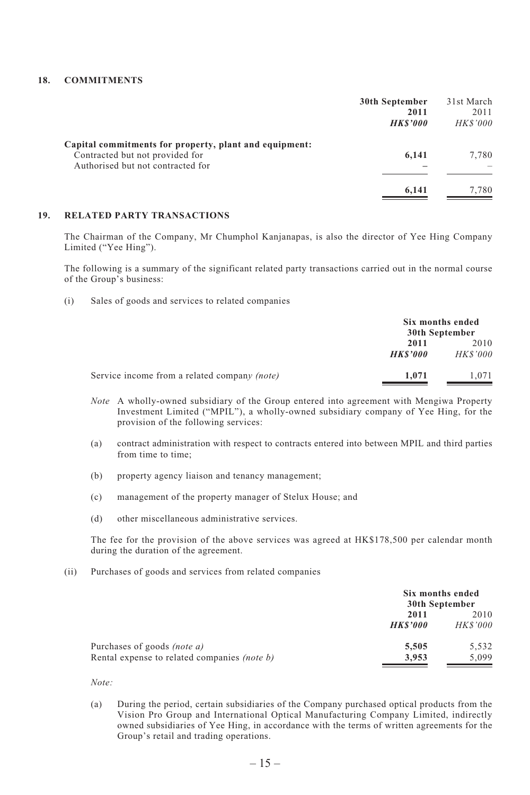## **18. COMMITMENTS**

|                                                                                                                                | 30th September<br>2011<br><b>HKS'000</b> | 31st March<br>2011<br><b>HKS'000</b> |
|--------------------------------------------------------------------------------------------------------------------------------|------------------------------------------|--------------------------------------|
| Capital commitments for property, plant and equipment:<br>Contracted but not provided for<br>Authorised but not contracted for | 6.141                                    | 7,780                                |
|                                                                                                                                | 6.141                                    | 7.780                                |

#### **19. RELATED PARTY TRANSACTIONS**

The Chairman of the Company, Mr Chumphol Kanjanapas, is also the director of Yee Hing Company Limited ("Yee Hing").

The following is a summary of the significant related party transactions carried out in the normal course of the Group's business:

(i) Sales of goods and services to related companies

|                                                     |                | Six months ended<br>30th September |  |
|-----------------------------------------------------|----------------|------------------------------------|--|
|                                                     | 2011           | 2010                               |  |
|                                                     | <b>HKS'000</b> | <i>HK\$'000</i>                    |  |
| Service income from a related company <i>(note)</i> | 1.071          | 1.071                              |  |

- *Note* A wholly-owned subsidiary of the Group entered into agreement with Mengiwa Property Investment Limited ("MPIL"), a wholly-owned subsidiary company of Yee Hing, for the provision of the following services:
- (a) contract administration with respect to contracts entered into between MPIL and third parties from time to time;
- (b) property agency liaison and tenancy management;
- (c) management of the property manager of Stelux House; and
- (d) other miscellaneous administrative services.

The fee for the provision of the above services was agreed at HK\$178,500 per calendar month during the duration of the agreement.

(ii) Purchases of goods and services from related companies

| Six months ended<br>30th September |                |  |
|------------------------------------|----------------|--|
| 2011<br>2010                       |                |  |
| <b>HKS'000</b>                     | <b>HKS'000</b> |  |
| 5.505                              | 5.532          |  |
| 3.953                              | 5.099          |  |
|                                    |                |  |

*Note:*

(a) During the period, certain subsidiaries of the Company purchased optical products from the Vision Pro Group and International Optical Manufacturing Company Limited, indirectly owned subsidiaries of Yee Hing, in accordance with the terms of written agreements for the Group's retail and trading operations.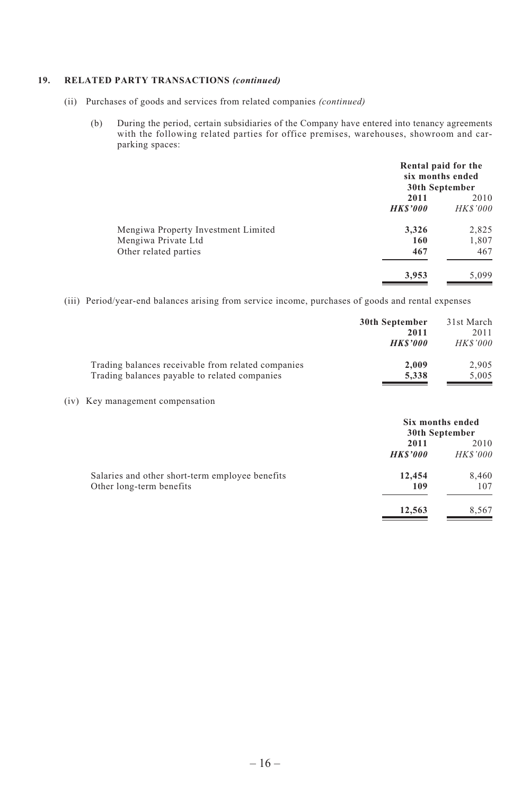## **19. RELATED PARTY TRANSACTIONS** *(continued)*

- (ii) Purchases of goods and services from related companies *(continued)*
	- (b) During the period, certain subsidiaries of the Company have entered into tenancy agreements with the following related parties for office premises, warehouses, showroom and carparking spaces:

|                                     | Rental paid for the<br>six months ended<br>30th September |                        |
|-------------------------------------|-----------------------------------------------------------|------------------------|
|                                     | 2011<br><b>HKS'000</b>                                    | 2010<br><b>HKS'000</b> |
| Mengiwa Property Investment Limited | 3,326                                                     | 2,825                  |
| Mengiwa Private Ltd                 | 160                                                       | 1,807                  |
| Other related parties               | 467                                                       | 467                    |
|                                     | 3,953                                                     | 5,099                  |

(iii) Period/year-end balances arising from service income, purchases of goods and rental expenses

|      |                                                                                                     | 30th September<br>2011<br><b>HKS'000</b> | 31st March<br>2011<br><b>HK\$'000</b> |
|------|-----------------------------------------------------------------------------------------------------|------------------------------------------|---------------------------------------|
|      | Trading balances receivable from related companies<br>Trading balances payable to related companies | 2,009<br>5,338                           | 2,905<br>5,005                        |
| (iv) | Key management compensation                                                                         |                                          |                                       |
|      |                                                                                                     |                                          | Six months ended<br>30th September    |
|      |                                                                                                     | 2011                                     | 2010                                  |
|      |                                                                                                     | <b>HKS'000</b>                           | <b>HK\$'000</b>                       |
|      | Salaries and other short-term employee benefits                                                     | 12,454                                   | 8,460                                 |
|      | Other long-term benefits                                                                            | 109                                      | 107                                   |
|      |                                                                                                     | 12,563                                   | 8,567                                 |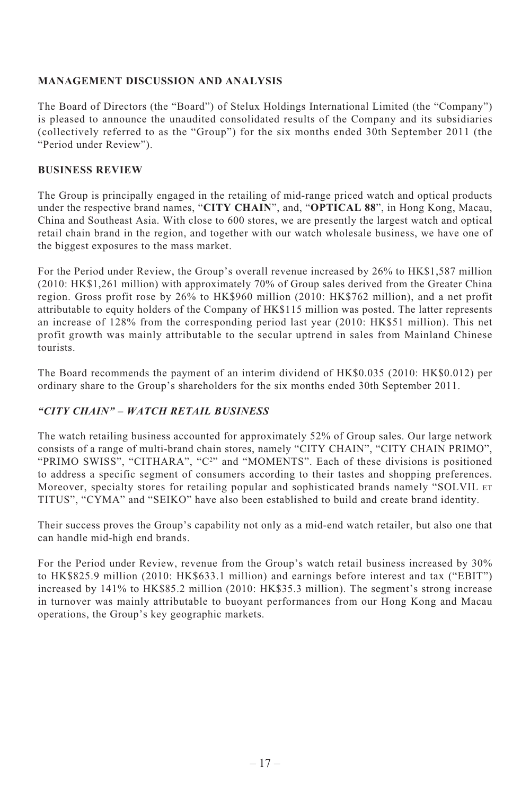# **MANAGEMENT DISCUSSION AND ANALYSIS**

The Board of Directors (the "Board") of Stelux Holdings International Limited (the "Company") is pleased to announce the unaudited consolidated results of the Company and its subsidiaries (collectively referred to as the "Group") for the six months ended 30th September 2011 (the "Period under Review").

# **BUSINESS REVIEW**

The Group is principally engaged in the retailing of mid-range priced watch and optical products under the respective brand names, "**CITY CHAIN**", and, "**OPTICAL 88**", in Hong Kong, Macau, China and Southeast Asia. With close to 600 stores, we are presently the largest watch and optical retail chain brand in the region, and together with our watch wholesale business, we have one of the biggest exposures to the mass market.

For the Period under Review, the Group's overall revenue increased by 26% to HK\$1,587 million (2010: HK\$1,261 million) with approximately 70% of Group sales derived from the Greater China region. Gross profit rose by 26% to HK\$960 million (2010: HK\$762 million), and a net profit attributable to equity holders of the Company of HK\$115 million was posted. The latter represents an increase of 128% from the corresponding period last year (2010: HK\$51 million). This net profit growth was mainly attributable to the secular uptrend in sales from Mainland Chinese tourists.

The Board recommends the payment of an interim dividend of HK\$0.035 (2010: HK\$0.012) per ordinary share to the Group's shareholders for the six months ended 30th September 2011.

# *"CITY CHAIN" – WATCH RETAIL BUSINESS*

The watch retailing business accounted for approximately 52% of Group sales. Our large network consists of a range of multi-brand chain stores, namely "CITY CHAIN", "CITY CHAIN PRIMO", "PRIMO SWISS", "CITHARA", " $C^2$ " and "MOMENTS". Each of these divisions is positioned to address a specific segment of consumers according to their tastes and shopping preferences. Moreover, specialty stores for retailing popular and sophisticated brands namely "SOLVIL ET TITUS", "CYMA" and "SEIKO" have also been established to build and create brand identity.

Their success proves the Group's capability not only as a mid-end watch retailer, but also one that can handle mid-high end brands.

For the Period under Review, revenue from the Group's watch retail business increased by 30% to HK\$825.9 million (2010: HK\$633.1 million) and earnings before interest and tax ("EBIT") increased by 141% to HK\$85.2 million (2010: HK\$35.3 million). The segment's strong increase in turnover was mainly attributable to buoyant performances from our Hong Kong and Macau operations, the Group's key geographic markets.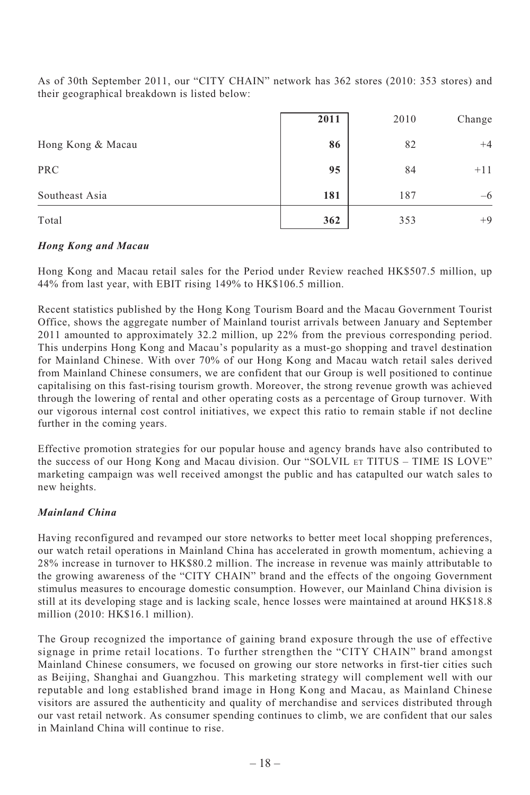As of 30th September 2011, our "CITY CHAIN" network has 362 stores (2010: 353 stores) and their geographical breakdown is listed below:

|                   | 2011 | 2010 | Change |
|-------------------|------|------|--------|
| Hong Kong & Macau | 86   | 82   | $+4$   |
| PRC               | 95   | 84   | $+11$  |
| Southeast Asia    | 181  | 187  | $-6$   |
| Total             | 362  | 353  | $+9$   |

# *Hong Kong and Macau*

Hong Kong and Macau retail sales for the Period under Review reached HK\$507.5 million, up 44% from last year, with EBIT rising 149% to HK\$106.5 million.

Recent statistics published by the Hong Kong Tourism Board and the Macau Government Tourist Office, shows the aggregate number of Mainland tourist arrivals between January and September 2011 amounted to approximately 32.2 million, up 22% from the previous corresponding period. This underpins Hong Kong and Macau's popularity as a must-go shopping and travel destination for Mainland Chinese. With over 70% of our Hong Kong and Macau watch retail sales derived from Mainland Chinese consumers, we are confident that our Group is well positioned to continue capitalising on this fast-rising tourism growth. Moreover, the strong revenue growth was achieved through the lowering of rental and other operating costs as a percentage of Group turnover. With our vigorous internal cost control initiatives, we expect this ratio to remain stable if not decline further in the coming years.

Effective promotion strategies for our popular house and agency brands have also contributed to the success of our Hong Kong and Macau division. Our "SOLVIL ET TITUS – TIME IS LOVE" marketing campaign was well received amongst the public and has catapulted our watch sales to new heights.

# *Mainland China*

Having reconfigured and revamped our store networks to better meet local shopping preferences, our watch retail operations in Mainland China has accelerated in growth momentum, achieving a 28% increase in turnover to HK\$80.2 million. The increase in revenue was mainly attributable to the growing awareness of the "CITY CHAIN" brand and the effects of the ongoing Government stimulus measures to encourage domestic consumption. However, our Mainland China division is still at its developing stage and is lacking scale, hence losses were maintained at around HK\$18.8 million (2010: HK\$16.1 million).

The Group recognized the importance of gaining brand exposure through the use of effective signage in prime retail locations. To further strengthen the "CITY CHAIN" brand amongst Mainland Chinese consumers, we focused on growing our store networks in first-tier cities such as Beijing, Shanghai and Guangzhou. This marketing strategy will complement well with our reputable and long established brand image in Hong Kong and Macau, as Mainland Chinese visitors are assured the authenticity and quality of merchandise and services distributed through our vast retail network. As consumer spending continues to climb, we are confident that our sales in Mainland China will continue to rise.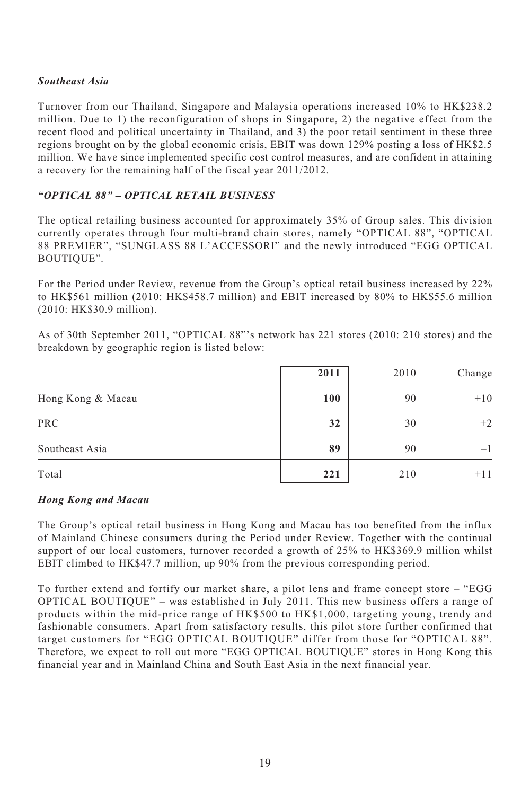# *Southeast Asia*

Turnover from our Thailand, Singapore and Malaysia operations increased 10% to HK\$238.2 million. Due to 1) the reconfiguration of shops in Singapore, 2) the negative effect from the recent flood and political uncertainty in Thailand, and 3) the poor retail sentiment in these three regions brought on by the global economic crisis, EBIT was down 129% posting a loss of HK\$2.5 million. We have since implemented specific cost control measures, and are confident in attaining a recovery for the remaining half of the fiscal year 2011/2012.

# *"OPTICAL 88" – OPTICAL RETAIL BUSINESS*

The optical retailing business accounted for approximately 35% of Group sales. This division currently operates through four multi-brand chain stores, namely "OPTICAL 88", "OPTICAL 88 PREMIER", "SUNGLASS 88 L'ACCESSORI" and the newly introduced "EGG OPTICAL BOUTIQUE".

For the Period under Review, revenue from the Group's optical retail business increased by 22% to HK\$561 million (2010: HK\$458.7 million) and EBIT increased by 80% to HK\$55.6 million (2010: HK\$30.9 million).

As of 30th September 2011, "OPTICAL 88"'s network has 221 stores (2010: 210 stores) and the breakdown by geographic region is listed below:

|                   | 2011 | 2010 | Change |
|-------------------|------|------|--------|
| Hong Kong & Macau | 100  | 90   | $+10$  |
| <b>PRC</b>        | 32   | 30   | $+2$   |
| Southeast Asia    | 89   | 90   | $-1$   |
| Total             | 221  | 210  | $+11$  |

# *Hong Kong and Macau*

The Group's optical retail business in Hong Kong and Macau has too benefited from the influx of Mainland Chinese consumers during the Period under Review. Together with the continual support of our local customers, turnover recorded a growth of 25% to HK\$369.9 million whilst EBIT climbed to HK\$47.7 million, up 90% from the previous corresponding period.

To further extend and fortify our market share, a pilot lens and frame concept store – "EGG OPTICAL BOUTIQUE" – was established in July 2011. This new business offers a range of products within the mid-price range of HK\$500 to HK\$1,000, targeting young, trendy and fashionable consumers. Apart from satisfactory results, this pilot store further confirmed that target customers for "EGG OPTICAL BOUTIQUE" differ from those for "OPTICAL 88". Therefore, we expect to roll out more "EGG OPTICAL BOUTIQUE" stores in Hong Kong this financial year and in Mainland China and South East Asia in the next financial year.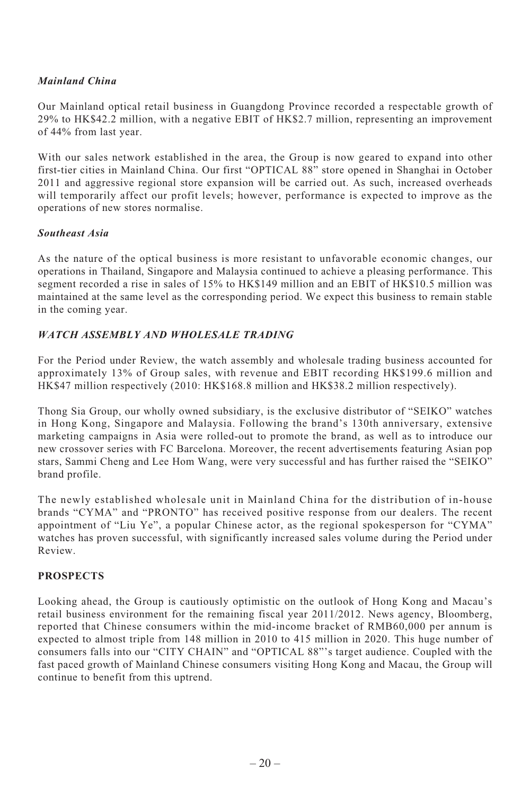# *Mainland China*

Our Mainland optical retail business in Guangdong Province recorded a respectable growth of 29% to HK\$42.2 million, with a negative EBIT of HK\$2.7 million, representing an improvement of 44% from last year.

With our sales network established in the area, the Group is now geared to expand into other first-tier cities in Mainland China. Our first "OPTICAL 88" store opened in Shanghai in October 2011 and aggressive regional store expansion will be carried out. As such, increased overheads will temporarily affect our profit levels; however, performance is expected to improve as the operations of new stores normalise.

# *Southeast Asia*

As the nature of the optical business is more resistant to unfavorable economic changes, our operations in Thailand, Singapore and Malaysia continued to achieve a pleasing performance. This segment recorded a rise in sales of 15% to HK\$149 million and an EBIT of HK\$10.5 million was maintained at the same level as the corresponding period. We expect this business to remain stable in the coming year.

# *WATCH ASSEMBLY AND WHOLESALE TRADING*

For the Period under Review, the watch assembly and wholesale trading business accounted for approximately 13% of Group sales, with revenue and EBIT recording HK\$199.6 million and HK\$47 million respectively (2010: HK\$168.8 million and HK\$38.2 million respectively).

Thong Sia Group, our wholly owned subsidiary, is the exclusive distributor of "SEIKO" watches in Hong Kong, Singapore and Malaysia. Following the brand's 130th anniversary, extensive marketing campaigns in Asia were rolled-out to promote the brand, as well as to introduce our new crossover series with FC Barcelona. Moreover, the recent advertisements featuring Asian pop stars, Sammi Cheng and Lee Hom Wang, were very successful and has further raised the "SEIKO" brand profile.

The newly established wholesale unit in Mainland China for the distribution of in-house brands "CYMA" and "PRONTO" has received positive response from our dealers. The recent appointment of "Liu Ye", a popular Chinese actor, as the regional spokesperson for "CYMA" watches has proven successful, with significantly increased sales volume during the Period under Review.

# **PROSPECTS**

Looking ahead, the Group is cautiously optimistic on the outlook of Hong Kong and Macau's retail business environment for the remaining fiscal year 2011/2012. News agency, Bloomberg, reported that Chinese consumers within the mid-income bracket of RMB60,000 per annum is expected to almost triple from 148 million in 2010 to 415 million in 2020. This huge number of consumers falls into our "CITY CHAIN" and "OPTICAL 88"'s target audience. Coupled with the fast paced growth of Mainland Chinese consumers visiting Hong Kong and Macau, the Group will continue to benefit from this uptrend.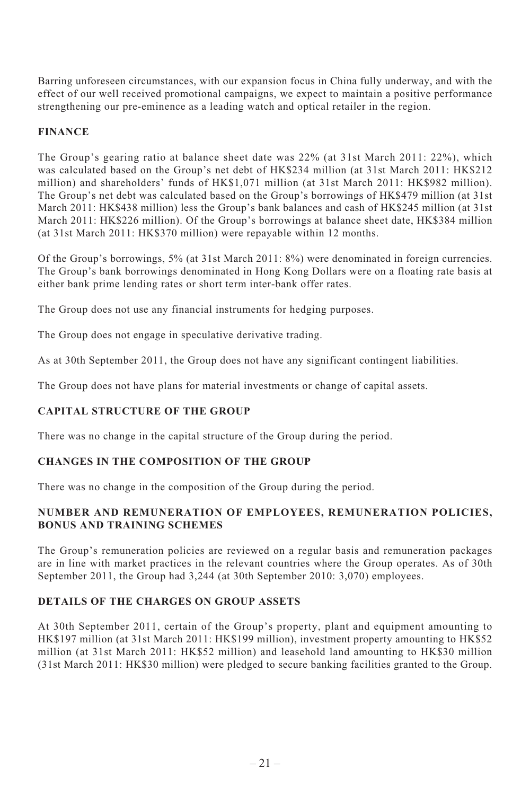Barring unforeseen circumstances, with our expansion focus in China fully underway, and with the effect of our well received promotional campaigns, we expect to maintain a positive performance strengthening our pre-eminence as a leading watch and optical retailer in the region.

# **FINANCE**

The Group's gearing ratio at balance sheet date was 22% (at 31st March 2011: 22%), which was calculated based on the Group's net debt of HK\$234 million (at 31st March 2011: HK\$212 million) and shareholders' funds of HK\$1,071 million (at 31st March 2011: HK\$982 million). The Group's net debt was calculated based on the Group's borrowings of HK\$479 million (at 31st March 2011: HK\$438 million) less the Group's bank balances and cash of HK\$245 million (at 31st March 2011: HK\$226 million). Of the Group's borrowings at balance sheet date, HK\$384 million (at 31st March 2011: HK\$370 million) were repayable within 12 months.

Of the Group's borrowings, 5% (at 31st March 2011: 8%) were denominated in foreign currencies. The Group's bank borrowings denominated in Hong Kong Dollars were on a floating rate basis at either bank prime lending rates or short term inter-bank offer rates.

The Group does not use any financial instruments for hedging purposes.

The Group does not engage in speculative derivative trading.

As at 30th September 2011, the Group does not have any significant contingent liabilities.

The Group does not have plans for material investments or change of capital assets.

# **CAPITAL STRUCTURE OF THE GROUP**

There was no change in the capital structure of the Group during the period.

# **CHANGES IN THE COMPOSITION OF THE GROUP**

There was no change in the composition of the Group during the period.

# **NUMBER AND REMUNERATION OF EMPLOYEES, REMUNERATION POLICIES, BONUS AND TRAINING SCHEMES**

The Group's remuneration policies are reviewed on a regular basis and remuneration packages are in line with market practices in the relevant countries where the Group operates. As of 30th September 2011, the Group had 3,244 (at 30th September 2010: 3,070) employees.

# **DETAILS OF THE CHARGES ON GROUP ASSETS**

At 30th September 2011, certain of the Group's property, plant and equipment amounting to HK\$197 million (at 31st March 2011: HK\$199 million), investment property amounting to HK\$52 million (at 31st March 2011: HK\$52 million) and leasehold land amounting to HK\$30 million (31st March 2011: HK\$30 million) were pledged to secure banking facilities granted to the Group.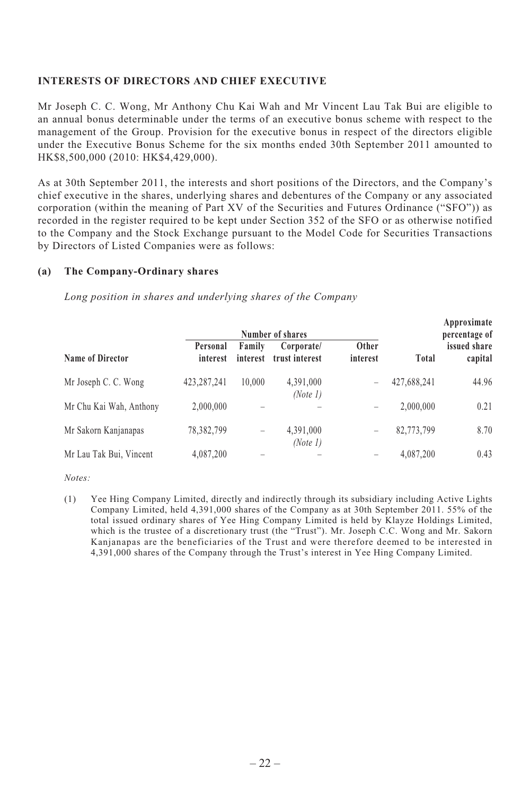# **INTERESTS OF DIRECTORS AND CHIEF EXECUTIVE**

Mr Joseph C. C. Wong, Mr Anthony Chu Kai Wah and Mr Vincent Lau Tak Bui are eligible to an annual bonus determinable under the terms of an executive bonus scheme with respect to the management of the Group. Provision for the executive bonus in respect of the directors eligible under the Executive Bonus Scheme for the six months ended 30th September 2011 amounted to HK\$8,500,000 (2010: HK\$4,429,000).

As at 30th September 2011, the interests and short positions of the Directors, and the Company's chief executive in the shares, underlying shares and debentures of the Company or any associated corporation (within the meaning of Part XV of the Securities and Futures Ordinance ("SFO")) as recorded in the register required to be kept under Section 352 of the SFO or as otherwise notified to the Company and the Stock Exchange pursuant to the Model Code for Securities Transactions by Directors of Listed Companies were as follows:

# **(a) The Company-Ordinary shares**

*Long position in shares and underlying shares of the Company*

|                         | Number of shares     |                    |                              |                   | Approximate<br>percentage of |                         |
|-------------------------|----------------------|--------------------|------------------------------|-------------------|------------------------------|-------------------------|
| Name of Director        | Personal<br>interest | Family<br>interest | Corporate/<br>trust interest | Other<br>interest | Total                        | issued share<br>capital |
| Mr Joseph C. C. Wong    | 423,287,241          | 10.000             | 4,391,000<br>(Note 1)        | -                 | 427,688,241                  | 44.96                   |
| Mr Chu Kai Wah, Anthony | 2.000.000            |                    |                              | -                 | 2.000.000                    | 0.21                    |
| Mr Sakorn Kanjanapas    | 78,382,799           | -                  | 4,391,000<br>(Note 1)        | -                 | 82,773,799                   | 8.70                    |
| Mr Lau Tak Bui, Vincent | 4,087,200            | -                  |                              | -                 | 4,087,200                    | 0.43                    |

*Notes:*

(1) Yee Hing Company Limited, directly and indirectly through its subsidiary including Active Lights Company Limited, held 4,391,000 shares of the Company as at 30th September 2011. 55% of the total issued ordinary shares of Yee Hing Company Limited is held by Klayze Holdings Limited, which is the trustee of a discretionary trust (the "Trust"). Mr. Joseph C.C. Wong and Mr. Sakorn Kanjanapas are the beneficiaries of the Trust and were therefore deemed to be interested in 4,391,000 shares of the Company through the Trust's interest in Yee Hing Company Limited.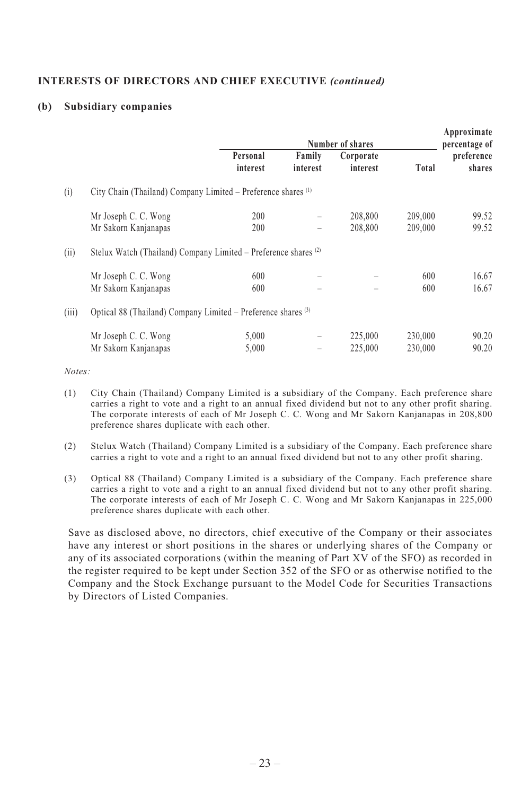# **INTERESTS OF DIRECTORS AND CHIEF EXECUTIVE** *(continued)*

# **(b) Subsidiary companies**

|       |                                                                 |                      |                    | Number of shares      |                    | Approximate<br>percentage of |
|-------|-----------------------------------------------------------------|----------------------|--------------------|-----------------------|--------------------|------------------------------|
|       |                                                                 | Personal<br>interest | Family<br>interest | Corporate<br>interest | Total              | preference<br>shares         |
| (i)   | City Chain (Thailand) Company Limited – Preference shares (1)   |                      |                    |                       |                    |                              |
|       | Mr Joseph C. C. Wong<br>Mr Sakorn Kanjanapas                    | 200<br>200           |                    | 208,800<br>208,800    | 209,000<br>209,000 | 99.52<br>99.52               |
| (ii)  | Stelux Watch (Thailand) Company Limited – Preference shares (2) |                      |                    |                       |                    |                              |
|       | Mr Joseph C. C. Wong<br>Mr Sakorn Kanjanapas                    | 600<br>600           |                    | -                     | 600<br>600         | 16.67<br>16.67               |
| (iii) | Optical 88 (Thailand) Company Limited – Preference shares (3)   |                      |                    |                       |                    |                              |
|       | Mr Joseph C. C. Wong<br>Mr Sakorn Kanjanapas                    | 5,000<br>5,000       |                    | 225,000<br>225,000    | 230,000<br>230,000 | 90.20<br>90.20               |

*Notes:*

- (1) City Chain (Thailand) Company Limited is a subsidiary of the Company. Each preference share carries a right to vote and a right to an annual fixed dividend but not to any other profit sharing. The corporate interests of each of Mr Joseph C. C. Wong and Mr Sakorn Kanjanapas in 208,800 preference shares duplicate with each other.
- (2) Stelux Watch (Thailand) Company Limited is a subsidiary of the Company. Each preference share carries a right to vote and a right to an annual fixed dividend but not to any other profit sharing.
- (3) Optical 88 (Thailand) Company Limited is a subsidiary of the Company. Each preference share carries a right to vote and a right to an annual fixed dividend but not to any other profit sharing. The corporate interests of each of Mr Joseph C. C. Wong and Mr Sakorn Kanjanapas in 225,000 preference shares duplicate with each other.

Save as disclosed above, no directors, chief executive of the Company or their associates have any interest or short positions in the shares or underlying shares of the Company or any of its associated corporations (within the meaning of Part XV of the SFO) as recorded in the register required to be kept under Section 352 of the SFO or as otherwise notified to the Company and the Stock Exchange pursuant to the Model Code for Securities Transactions by Directors of Listed Companies.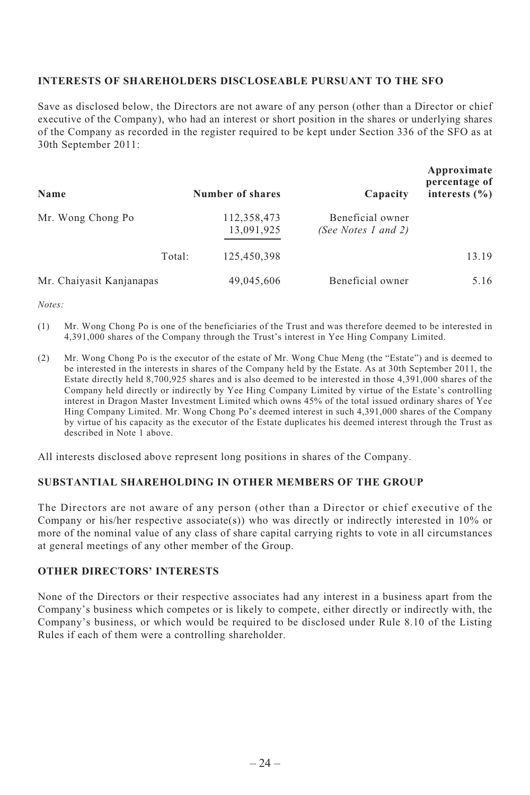## **INTERESTS OF SHAREHOLDERS DISCLOSEABLE PURSUANT TO THE SFO**

Save as disclosed below, the Directors are not aware of any person (other than a Director or chief executive of the Company), who had an interest or short position in the shares or underlying shares of the Company as recorded in the register required to be kept under Section 336 of the SFO as at 30th September 2011:

| Name                     | Number of shares          | Capacity                                | Approximate<br>percentage of<br>interests $(\% )$ |
|--------------------------|---------------------------|-----------------------------------------|---------------------------------------------------|
| Mr. Wong Chong Po        | 112,358,473<br>13,091,925 | Beneficial owner<br>(See Notes 1 and 2) |                                                   |
|                          | 125,450,398<br>Total:     |                                         | 13.19                                             |
| Mr. Chaiyasit Kanjanapas | 49,045,606                | Beneficial owner                        | 5.16                                              |

*Notes:*

- (1) Mr. Wong Chong Po is one of the beneficiaries of the Trust and was therefore deemed to be interested in 4,391,000 shares of the Company through the Trust's interest in Yee Hing Company Limited.
- (2) Mr. Wong Chong Po is the executor of the estate of Mr. Wong Chue Meng (the "Estate") and is deemed to be interested in the interests in shares of the Company held by the Estate. As at 30th September 2011, the Estate directly held 8,700,925 shares and is also deemed to be interested in those 4,391,000 shares of the Company held directly or indirectly by Yee Hing Company Limited by virtue of the Estate's controlling interest in Dragon Master Investment Limited which owns 45% of the total issued ordinary shares of Yee Hing Company Limited. Mr. Wong Chong Po's deemed interest in such 4,391,000 shares of the Company by virtue of his capacity as the executor of the Estate duplicates his deemed interest through the Trust as described in Note 1 above.

All interests disclosed above represent long positions in shares of the Company.

# **SUBSTANTIAL SHAREHOLDING IN OTHER MEMBERS OF THE GROUP**

The Directors are not aware of any person (other than a Director or chief executive of the Company or his/her respective associate(s)) who was directly or indirectly interested in 10% or more of the nominal value of any class of share capital carrying rights to vote in all circumstances at general meetings of any other member of the Group.

### **OTHER DIRECTORS' INTERESTS**

None of the Directors or their respective associates had any interest in a business apart from the Company's business which competes or is likely to compete, either directly or indirectly with, the Company's business, or which would be required to be disclosed under Rule 8.10 of the Listing Rules if each of them were a controlling shareholder.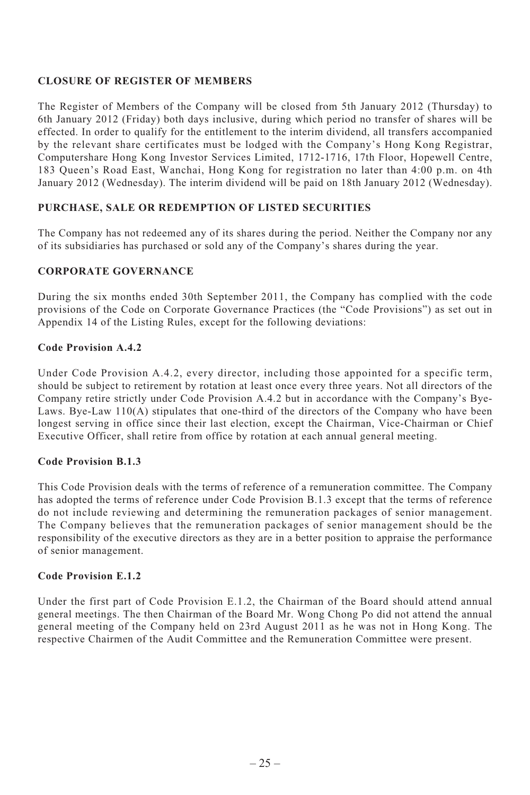# **CLOSURE OF REGISTER OF MEMBERS**

The Register of Members of the Company will be closed from 5th January 2012 (Thursday) to 6th January 2012 (Friday) both days inclusive, during which period no transfer of shares will be effected. In order to qualify for the entitlement to the interim dividend, all transfers accompanied by the relevant share certificates must be lodged with the Company's Hong Kong Registrar, Computershare Hong Kong Investor Services Limited, 1712-1716, 17th Floor, Hopewell Centre, 183 Queen's Road East, Wanchai, Hong Kong for registration no later than 4:00 p.m. on 4th January 2012 (Wednesday). The interim dividend will be paid on 18th January 2012 (Wednesday).

# **PURCHASE, SALE OR REDEMPTION OF LISTED SECURITIES**

The Company has not redeemed any of its shares during the period. Neither the Company nor any of its subsidiaries has purchased or sold any of the Company's shares during the year.

# **CORPORATE GOVERNANCE**

During the six months ended 30th September 2011, the Company has complied with the code provisions of the Code on Corporate Governance Practices (the "Code Provisions") as set out in Appendix 14 of the Listing Rules, except for the following deviations:

# **Code Provision A.4.2**

Under Code Provision A.4.2, every director, including those appointed for a specific term, should be subject to retirement by rotation at least once every three years. Not all directors of the Company retire strictly under Code Provision A.4.2 but in accordance with the Company's Bye-Laws. Bye-Law 110(A) stipulates that one-third of the directors of the Company who have been longest serving in office since their last election, except the Chairman, Vice-Chairman or Chief Executive Officer, shall retire from office by rotation at each annual general meeting.

# **Code Provision B.1.3**

This Code Provision deals with the terms of reference of a remuneration committee. The Company has adopted the terms of reference under Code Provision B.1.3 except that the terms of reference do not include reviewing and determining the remuneration packages of senior management. The Company believes that the remuneration packages of senior management should be the responsibility of the executive directors as they are in a better position to appraise the performance of senior management.

# **Code Provision E.1.2**

Under the first part of Code Provision E.1.2, the Chairman of the Board should attend annual general meetings. The then Chairman of the Board Mr. Wong Chong Po did not attend the annual general meeting of the Company held on 23rd August 2011 as he was not in Hong Kong. The respective Chairmen of the Audit Committee and the Remuneration Committee were present.